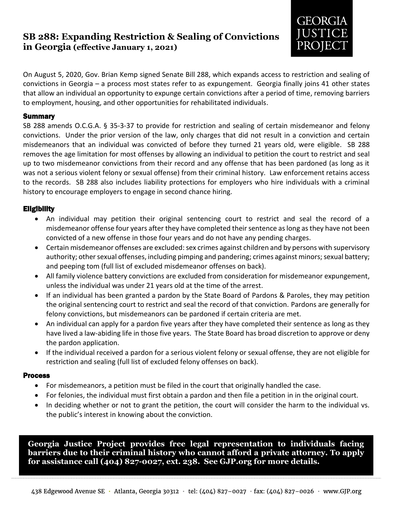### **SB 288: Expanding Restriction & Sealing of Convictions in Georgia (effective January 1, 2021)**



On August 5, 2020, Gov. Brian Kemp signed Senate Bill 288, which expands access to restriction and sealing of convictions in Georgia – a process most states refer to as expungement. Georgia finally joins 41 other states that allow an individual an opportunity to expunge certain convictions after a period of time, removing barriers to employment, housing, and other opportunities for rehabilitated individuals.

#### **Summary**

SB 288 amends O.C.G.A. § 35-3-37 to provide for restriction and sealing of certain misdemeanor and felony convictions. Under the prior version of the law, only charges that did not result in a conviction and certain misdemeanors that an individual was convicted of before they turned 21 years old, were eligible. SB 288 removes the age limitation for most offenses by allowing an individual to petition the court to restrict and seal up to two misdemeanor convictions from their record and any offense that has been pardoned (as long as it was not a serious violent felony or sexual offense) from their criminal history. Law enforcement retains access to the records. SB 288 also includes liability protections for employers who hire individuals with a criminal history to encourage employers to engage in second chance hiring.

### **Eligibility**

- An individual may petition their original sentencing court to restrict and seal the record of a misdemeanor offense four years after they have completed their sentence as long as they have not been convicted of a new offense in those four years and do not have any pending charges.
- Certain misdemeanor offenses are excluded: sex crimes against children and by persons with supervisory authority; other sexual offenses, including pimping and pandering; crimes against minors; sexual battery; and peeping tom (full list of excluded misdemeanor offenses on back).
- All family violence battery convictions are excluded from consideration for misdemeanor expungement, unless the individual was under 21 years old at the time of the arrest.
- If an individual has been granted a pardon by the State Board of Pardons & Paroles, they may petition the original sentencing court to restrict and seal the record of that conviction. Pardons are generally for felony convictions, but misdemeanors can be pardoned if certain criteria are met.
- An individual can apply for a pardon five years after they have completed their sentence as long as they have lived a law-abiding life in those five years. The State Board has broad discretion to approve or deny the pardon application.
- If the individual received a pardon for a serious violent felony or sexual offense, they are not eligible for restriction and sealing (full list of excluded felony offenses on back).

#### Process

- For misdemeanors, a petition must be filed in the court that originally handled the case.
- For felonies, the individual must first obtain a pardon and then file a petition in in the original court.
- In deciding whether or not to grant the petition, the court will consider the harm to the individual vs. the public's interest in knowing about the conviction.

**Georgia Justice Project provides free legal representation to individuals facing barriers due to their criminal history who cannot afford a private attorney. To apply for assistance call (404) 827-0027, ext. 238. See GJP.org for more details.**